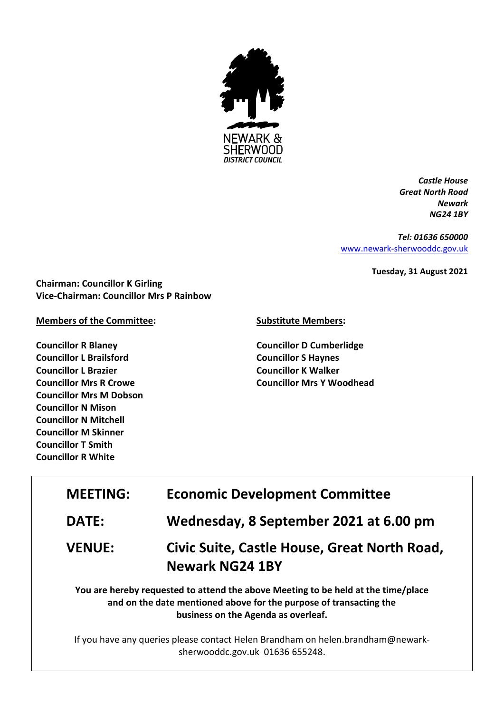

*Castle House Great North Road Newark NG24 1BY*

*Tel: 01636 650000* [www.newark-sherwooddc.gov.uk](http://www.newark-sherwooddc.gov.uk/)

**Tuesday, 31 August 2021**

**Chairman: Councillor K Girling Vice-Chairman: Councillor Mrs P Rainbow**

**Members of the Committee:**

**Councillor R Blaney Councillor L Brailsford Councillor L Brazier Councillor Mrs R Crowe Councillor Mrs M Dobson Councillor N Mison Councillor N Mitchell Councillor M Skinner Councillor T Smith Councillor R White**

## **Substitute Members:**

**Councillor D Cumberlidge Councillor S Haynes Councillor K Walker Councillor Mrs Y Woodhead**

| <b>MEETING:</b> | <b>Economic Development Committee</b>                                                                                                                                                          |  |
|-----------------|------------------------------------------------------------------------------------------------------------------------------------------------------------------------------------------------|--|
| <b>DATE:</b>    | Wednesday, 8 September 2021 at 6.00 pm                                                                                                                                                         |  |
| <b>VENUE:</b>   | Civic Suite, Castle House, Great North Road,<br><b>Newark NG24 1BY</b>                                                                                                                         |  |
|                 | You are hereby requested to attend the above Meeting to be held at the time/place<br>and on the date mentioned above for the purpose of transacting the<br>business on the Agenda as overleaf. |  |

If you have any queries please contact Helen Brandham on helen.brandham@newarksherwooddc.gov.uk 01636 655248.